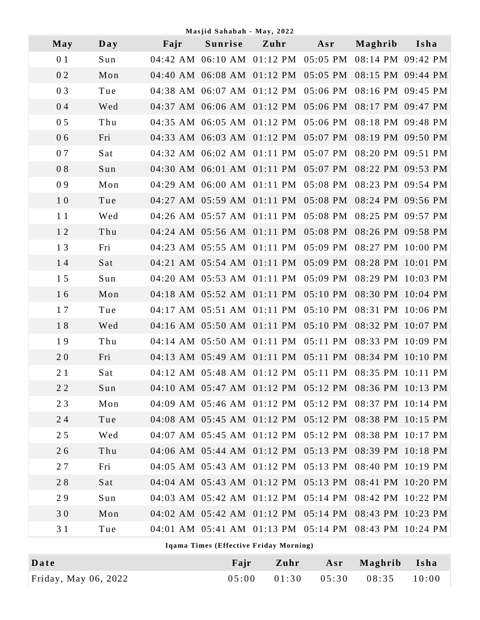| Masjid Sahabah - May, 2022 |  |
|----------------------------|--|
|                            |  |

| May | $\mathbf{Day}$                         | Fajr | $1.143$ $1.4$ Danaban - $1.44$ , $2.72$<br>Sunrise    | Zuhr | Asr | Maghrib | Isha              |  |
|-----|----------------------------------------|------|-------------------------------------------------------|------|-----|---------|-------------------|--|
| 0 1 | Sun                                    |      | 04:42 AM 06:10 AM 01:12 PM 05:05 PM 08:14 PM 09:42 PM |      |     |         |                   |  |
| 02  | Mon                                    |      | 04:40 AM 06:08 AM 01:12 PM 05:05 PM 08:15 PM 09:44 PM |      |     |         |                   |  |
| 03  | Tue                                    |      | 04:38 AM 06:07 AM 01:12 PM 05:06 PM                   |      |     |         | 08:16 PM 09:45 PM |  |
| 04  | Wed                                    |      | 04:37 AM 06:06 AM 01:12 PM 05:06 PM 08:17 PM 09:47 PM |      |     |         |                   |  |
| 05  | Thu                                    |      | 04:35 AM 06:05 AM 01:12 PM 05:06 PM                   |      |     |         | 08:18 PM 09:48 PM |  |
| 06  | Fri                                    |      | 04:33 AM 06:03 AM 01:12 PM 05:07 PM                   |      |     |         | 08:19 PM 09:50 PM |  |
| 07  | Sat                                    |      | 04:32 AM 06:02 AM 01:11 PM 05:07 PM 08:20 PM 09:51 PM |      |     |         |                   |  |
| 08  | Sun                                    |      | 04:30 AM 06:01 AM 01:11 PM 05:07 PM 08:22 PM 09:53 PM |      |     |         |                   |  |
| 09  | Mon                                    |      | 04:29 AM 06:00 AM 01:11 PM 05:08 PM                   |      |     |         | 08:23 PM 09:54 PM |  |
| 10  | Tue                                    |      | 04:27 AM 05:59 AM 01:11 PM 05:08 PM 08:24 PM 09:56 PM |      |     |         |                   |  |
| 11  | Wed                                    |      | 04:26 AM 05:57 AM 01:11 PM 05:08 PM                   |      |     |         | 08:25 PM 09:57 PM |  |
| 12  | Thu                                    |      | 04:24 AM 05:56 AM 01:11 PM 05:08 PM                   |      |     |         | 08:26 PM 09:58 PM |  |
| 13  | Fri                                    |      | 04:23 AM 05:55 AM 01:11 PM 05:09 PM                   |      |     |         | 08:27 PM 10:00 PM |  |
| 14  | Sat                                    |      | 04:21 AM 05:54 AM 01:11 PM 05:09 PM 08:28 PM 10:01 PM |      |     |         |                   |  |
| 15  | Sun                                    |      | 04:20 AM 05:53 AM 01:11 PM 05:09 PM                   |      |     |         | 08:29 PM 10:03 PM |  |
| 16  | Mon                                    |      | 04:18 AM 05:52 AM 01:11 PM 05:10 PM 08:30 PM 10:04 PM |      |     |         |                   |  |
| 17  | Tue                                    |      | 04:17 AM 05:51 AM 01:11 PM 05:10 PM 08:31 PM 10:06 PM |      |     |         |                   |  |
| 18  | Wed                                    |      | 04:16 AM 05:50 AM 01:11 PM 05:10 PM 08:32 PM 10:07 PM |      |     |         |                   |  |
| 19  | Thu                                    |      | 04:14 AM 05:50 AM 01:11 PM 05:11 PM 08:33 PM 10:09 PM |      |     |         |                   |  |
| 20  | Fri                                    |      | 04:13 AM 05:49 AM 01:11 PM 05:11 PM 08:34 PM 10:10 PM |      |     |         |                   |  |
| 21  | Sat                                    |      | 04:12 AM 05:48 AM 01:12 PM 05:11 PM 08:35 PM 10:11 PM |      |     |         |                   |  |
| 22  | Sun                                    |      | 04:10 AM 05:47 AM 01:12 PM 05:12 PM 08:36 PM 10:13 PM |      |     |         |                   |  |
| 23  | Mon                                    |      | 04:09 AM 05:46 AM 01:12 PM 05:12 PM 08:37 PM 10:14 PM |      |     |         |                   |  |
| 24  | Tue                                    |      | 04:08 AM 05:45 AM 01:12 PM 05:12 PM 08:38 PM 10:15 PM |      |     |         |                   |  |
| 25  | Wed                                    |      | 04:07 AM 05:45 AM 01:12 PM 05:12 PM                   |      |     |         | 08:38 PM 10:17 PM |  |
| 26  | Thu                                    |      | 04:06 AM 05:44 AM 01:12 PM 05:13 PM                   |      |     |         | 08:39 PM 10:18 PM |  |
| 27  | Fri                                    |      | 04:05 AM 05:43 AM 01:12 PM 05:13 PM                   |      |     |         | 08:40 PM 10:19 PM |  |
| 28  | Sat                                    |      | 04:04 AM 05:43 AM 01:12 PM 05:13 PM                   |      |     |         | 08:41 PM 10:20 PM |  |
| 29  | Sun                                    |      | 04:03 AM 05:42 AM 01:12 PM 05:14 PM                   |      |     |         | 08:42 PM 10:22 PM |  |
| 30  | Mon                                    |      | 04:02 AM 05:42 AM 01:12 PM 05:14 PM 08:43 PM 10:23 PM |      |     |         |                   |  |
| 31  | Tue                                    |      | 04:01 AM 05:41 AM 01:13 PM 05:14 PM 08:43 PM 10:24 PM |      |     |         |                   |  |
|     | Iqama Times (Effective Friday Morning) |      |                                                       |      |     |         |                   |  |

| Date                 | Fair | Zuhr | Asr Maghrib Isha                        |  |
|----------------------|------|------|-----------------------------------------|--|
| Friday, May 06, 2022 |      |      | $05:00$ $01:30$ $05:30$ $08:35$ $10:00$ |  |